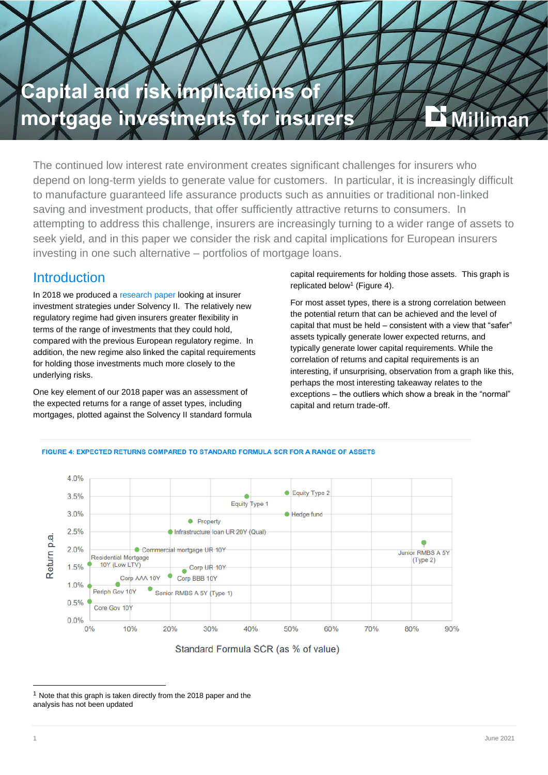

The continued low interest rate environment creates significant challenges for insurers who depend on long-term yields to generate value for customers. In particular, it is increasingly difficult to manufacture guaranteed life assurance products such as annuities or traditional non-linked saving and investment products, that offer sufficiently attractive returns to consumers. In attempting to address this challenge, insurers are increasingly turning to a wider range of assets to seek yield, and in this paper we consider the risk and capital implications for European insurers investing in one such alternative – portfolios of mortgage loans.

# **Introduction**

In 2018 we produced a [research paper](https://ie.milliman.com/en-GB/insight/investment-strategy-under-solvency-ii) looking at insurer investment strategies under Solvency II. The relatively new regulatory regime had given insurers greater flexibility in terms of the range of investments that they could hold, compared with the previous European regulatory regime. In addition, the new regime also linked the capital requirements for holding those investments much more closely to the underlying risks.

One key element of our 2018 paper was an assessment of the expected returns for a range of asset types, including mortgages, plotted against the Solvency II standard formula capital requirements for holding those assets. This graph is replicated below<sup>1</sup> (Figure 4).

For most asset types, there is a strong correlation between the potential return that can be achieved and the level of capital that must be held – consistent with a view that "safer" assets typically generate lower expected returns, and typically generate lower capital requirements. While the correlation of returns and capital requirements is an interesting, if unsurprising, observation from a graph like this, perhaps the most interesting takeaway relates to the exceptions – the outliers which show a break in the "normal" capital and return trade-off.



#### FIGURE 4: EXPECTED RETURNS COMPARED TO STANDARD FORMULA SCR FOR A RANGE OF ASSETS

Standard Formula SCR (as % of value)

 $1$  Note that this graph is taken directly from the 2018 paper and the analysis has not been updated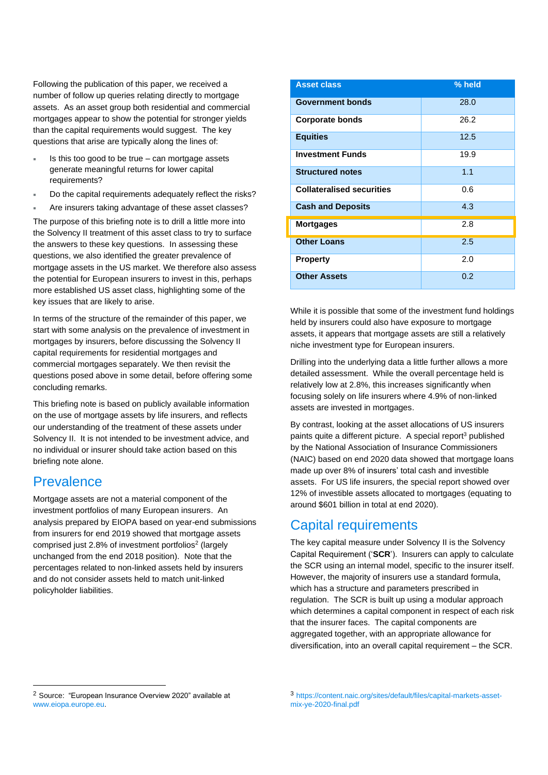Following the publication of this paper, we received a number of follow up queries relating directly to mortgage assets. As an asset group both residential and commercial mortgages appear to show the potential for stronger yields than the capital requirements would suggest. The key questions that arise are typically along the lines of:

- Is this too good to be true can mortgage assets generate meaningful returns for lower capital requirements?
- Do the capital requirements adequately reflect the risks?

 Are insurers taking advantage of these asset classes? The purpose of this briefing note is to drill a little more into the Solvency II treatment of this asset class to try to surface the answers to these key questions. In assessing these questions, we also identified the greater prevalence of mortgage assets in the US market. We therefore also assess the potential for European insurers to invest in this, perhaps more established US asset class, highlighting some of the key issues that are likely to arise.

In terms of the structure of the remainder of this paper, we start with some analysis on the prevalence of investment in mortgages by insurers, before discussing the Solvency II capital requirements for residential mortgages and commercial mortgages separately. We then revisit the questions posed above in some detail, before offering some concluding remarks.

This briefing note is based on publicly available information on the use of mortgage assets by life insurers, and reflects our understanding of the treatment of these assets under Solvency II. It is not intended to be investment advice, and no individual or insurer should take action based on this briefing note alone.

## **Prevalence**

Mortgage assets are not a material component of the investment portfolios of many European insurers. An analysis prepared by EIOPA based on year-end submissions from insurers for end 2019 showed that mortgage assets comprised just 2.8% of investment portfolios<sup>2</sup> (largely unchanged from the end 2018 position). Note that the percentages related to non-linked assets held by insurers and do not consider assets held to match unit-linked policyholder liabilities.

| <b>Asset class</b>               | $%$ held |
|----------------------------------|----------|
| <b>Government bonds</b>          | 28.0     |
| <b>Corporate bonds</b>           | 26.2     |
| <b>Equities</b>                  | 12.5     |
| <b>Investment Funds</b>          | 19.9     |
| <b>Structured notes</b>          | 1.1      |
| <b>Collateralised securities</b> | 0.6      |
| <b>Cash and Deposits</b>         | 4.3      |
| <b>Mortgages</b>                 | 2.8      |
| <b>Other Loans</b>               | 2.5      |
| <b>Property</b>                  | 2.0      |
| <b>Other Assets</b>              | 0.2      |

While it is possible that some of the investment fund holdings held by insurers could also have exposure to mortgage assets, it appears that mortgage assets are still a relatively niche investment type for European insurers.

Drilling into the underlying data a little further allows a more detailed assessment. While the overall percentage held is relatively low at 2.8%, this increases significantly when focusing solely on life insurers where 4.9% of non-linked assets are invested in mortgages.

By contrast, looking at the asset allocations of US insurers paints quite a different picture. A special report<sup>3</sup> published by the National Association of Insurance Commissioners (NAIC) based on end 2020 data showed that mortgage loans made up over 8% of insurers' total cash and investible assets. For US life insurers, the special report showed over 12% of investible assets allocated to mortgages (equating to around \$601 billion in total at end 2020).

# Capital requirements

The key capital measure under Solvency II is the Solvency Capital Requirement ('**SCR**'). Insurers can apply to calculate the SCR using an internal model, specific to the insurer itself. However, the majority of insurers use a standard formula, which has a structure and parameters prescribed in regulation. The SCR is built up using a modular approach which determines a capital component in respect of each risk that the insurer faces. The capital components are aggregated together, with an appropriate allowance for diversification, into an overall capital requirement – the SCR.

<sup>2</sup> Source: "European Insurance Overview 2020" available at [www.eiopa.europe.eu.](http://www.eiopa.europe.eu/)

<sup>3</sup> https://content.naic.org/sites/default/files/capital-markets-assetmix-ye-2020-final.pdf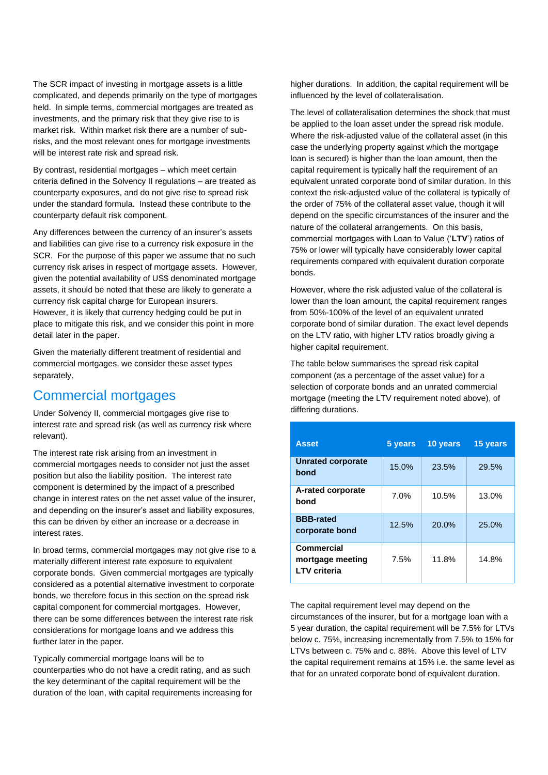The SCR impact of investing in mortgage assets is a little complicated, and depends primarily on the type of mortgages held. In simple terms, commercial mortgages are treated as investments, and the primary risk that they give rise to is market risk. Within market risk there are a number of subrisks, and the most relevant ones for mortgage investments will be interest rate risk and spread risk.

By contrast, residential mortgages – which meet certain criteria defined in the Solvency II regulations – are treated as counterparty exposures, and do not give rise to spread risk under the standard formula. Instead these contribute to the counterparty default risk component.

Any differences between the currency of an insurer's assets and liabilities can give rise to a currency risk exposure in the SCR. For the purpose of this paper we assume that no such currency risk arises in respect of mortgage assets. However, given the potential availability of US\$ denominated mortgage assets, it should be noted that these are likely to generate a currency risk capital charge for European insurers. However, it is likely that currency hedging could be put in place to mitigate this risk, and we consider this point in more detail later in the paper.

Given the materially different treatment of residential and commercial mortgages, we consider these asset types separately.

### Commercial mortgages

Under Solvency II, commercial mortgages give rise to interest rate and spread risk (as well as currency risk where relevant).

The interest rate risk arising from an investment in commercial mortgages needs to consider not just the asset position but also the liability position. The interest rate component is determined by the impact of a prescribed change in interest rates on the net asset value of the insurer, and depending on the insurer's asset and liability exposures, this can be driven by either an increase or a decrease in interest rates.

In broad terms, commercial mortgages may not give rise to a materially different interest rate exposure to equivalent corporate bonds. Given commercial mortgages are typically considered as a potential alternative investment to corporate bonds, we therefore focus in this section on the spread risk capital component for commercial mortgages. However, there can be some differences between the interest rate risk considerations for mortgage loans and we address this further later in the paper.

Typically commercial mortgage loans will be to counterparties who do not have a credit rating, and as such the key determinant of the capital requirement will be the duration of the loan, with capital requirements increasing for higher durations. In addition, the capital requirement will be influenced by the level of collateralisation.

The level of collateralisation determines the shock that must be applied to the loan asset under the spread risk module. Where the risk-adjusted value of the collateral asset (in this case the underlying property against which the mortgage loan is secured) is higher than the loan amount, then the capital requirement is typically half the requirement of an equivalent unrated corporate bond of similar duration. In this context the risk-adjusted value of the collateral is typically of the order of 75% of the collateral asset value, though it will depend on the specific circumstances of the insurer and the nature of the collateral arrangements. On this basis, commercial mortgages with Loan to Value ('**LTV**') ratios of 75% or lower will typically have considerably lower capital requirements compared with equivalent duration corporate bonds.

However, where the risk adjusted value of the collateral is lower than the loan amount, the capital requirement ranges from 50%-100% of the level of an equivalent unrated corporate bond of similar duration. The exact level depends on the LTV ratio, with higher LTV ratios broadly giving a higher capital requirement.

The table below summarises the spread risk capital component (as a percentage of the asset value) for a selection of corporate bonds and an unrated commercial mortgage (meeting the LTV requirement noted above), of differing durations.

| <b>Asset</b>                                          | 5 years | 10 years | 15 years |
|-------------------------------------------------------|---------|----------|----------|
| <b>Unrated corporate</b><br>bond                      | 15.0%   | 23.5%    | 29.5%    |
| A-rated corporate<br>bond                             | 7.0%    | 10.5%    | 13.0%    |
| <b>BBB-rated</b><br>corporate bond                    | 12.5%   | 20.0%    | 25.0%    |
| Commercial<br>mortgage meeting<br><b>LTV</b> criteria | 7.5%    | 11.8%    | 14.8%    |

The capital requirement level may depend on the circumstances of the insurer, but for a mortgage loan with a 5 year duration, the capital requirement will be 7.5% for LTVs below c. 75%, increasing incrementally from 7.5% to 15% for LTVs between c. 75% and c. 88%. Above this level of LTV the capital requirement remains at 15% i.e. the same level as that for an unrated corporate bond of equivalent duration.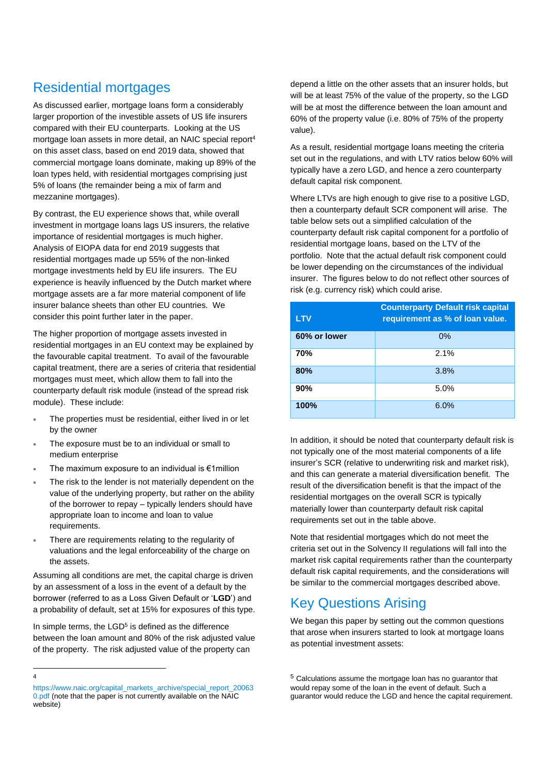# Residential mortgages

As discussed earlier, mortgage loans form a considerably larger proportion of the investible assets of US life insurers compared with their EU counterparts. Looking at the US mortgage loan assets in more detail, an NAIC special report<sup>4</sup> on this asset class, based on end 2019 data, showed that commercial mortgage loans dominate, making up 89% of the loan types held, with residential mortgages comprising just 5% of loans (the remainder being a mix of farm and mezzanine mortgages).

By contrast, the EU experience shows that, while overall investment in mortgage loans lags US insurers, the relative importance of residential mortgages is much higher. Analysis of EIOPA data for end 2019 suggests that residential mortgages made up 55% of the non-linked mortgage investments held by EU life insurers. The EU experience is heavily influenced by the Dutch market where mortgage assets are a far more material component of life insurer balance sheets than other EU countries. We consider this point further later in the paper.

The higher proportion of mortgage assets invested in residential mortgages in an EU context may be explained by the favourable capital treatment. To avail of the favourable capital treatment, there are a series of criteria that residential mortgages must meet, which allow them to fall into the counterparty default risk module (instead of the spread risk module). These include:

- The properties must be residential, either lived in or let by the owner
- The exposure must be to an individual or small to medium enterprise
- The maximum exposure to an individual is €1million
- The risk to the lender is not materially dependent on the value of the underlying property, but rather on the ability of the borrower to repay – typically lenders should have appropriate loan to income and loan to value requirements.
- There are requirements relating to the regularity of valuations and the legal enforceability of the charge on the assets.

Assuming all conditions are met, the capital charge is driven by an assessment of a loss in the event of a default by the borrower (referred to as a Loss Given Default or '**LGD**') and a probability of default, set at 15% for exposures of this type.

In simple terms, the LGD<sup>5</sup> is defined as the difference between the loan amount and 80% of the risk adjusted value of the property. The risk adjusted value of the property can

depend a little on the other assets that an insurer holds, but will be at least 75% of the value of the property, so the LGD will be at most the difference between the loan amount and 60% of the property value (i.e. 80% of 75% of the property value).

As a result, residential mortgage loans meeting the criteria set out in the regulations, and with LTV ratios below 60% will typically have a zero LGD, and hence a zero counterparty default capital risk component.

Where LTVs are high enough to give rise to a positive LGD, then a counterparty default SCR component will arise. The table below sets out a simplified calculation of the counterparty default risk capital component for a portfolio of residential mortgage loans, based on the LTV of the portfolio. Note that the actual default risk component could be lower depending on the circumstances of the individual insurer. The figures below to do not reflect other sources of risk (e.g. currency risk) which could arise.

| <b>LTV</b>   | <b>Counterparty Default risk capital</b><br>requirement as % of loan value. |
|--------------|-----------------------------------------------------------------------------|
| 60% or lower | 0%                                                                          |
| 70%          | 2.1%                                                                        |
| 80%          | 3.8%                                                                        |
| 90%          | 5.0%                                                                        |
| 100%         | 6.0%                                                                        |

In addition, it should be noted that counterparty default risk is not typically one of the most material components of a life insurer's SCR (relative to underwriting risk and market risk), and this can generate a material diversification benefit. The result of the diversification benefit is that the impact of the residential mortgages on the overall SCR is typically materially lower than counterparty default risk capital requirements set out in the table above.

Note that residential mortgages which do not meet the criteria set out in the Solvency II regulations will fall into the market risk capital requirements rather than the counterparty default risk capital requirements, and the considerations will be similar to the commercial mortgages described above.

# Key Questions Arising

We began this paper by setting out the common questions that arose when insurers started to look at mortgage loans as potential investment assets:

<sup>4</sup>

[https://www.naic.org/capital\\_markets\\_archive/special\\_report\\_20063](https://www.naic.org/capital_markets_archive/special_report_200630.pdf) [0.pdf](https://www.naic.org/capital_markets_archive/special_report_200630.pdf) (note that the paper is not currently available on the NAIC website)

<sup>5</sup> Calculations assume the mortgage loan has no guarantor that would repay some of the loan in the event of default. Such a guarantor would reduce the LGD and hence the capital requirement.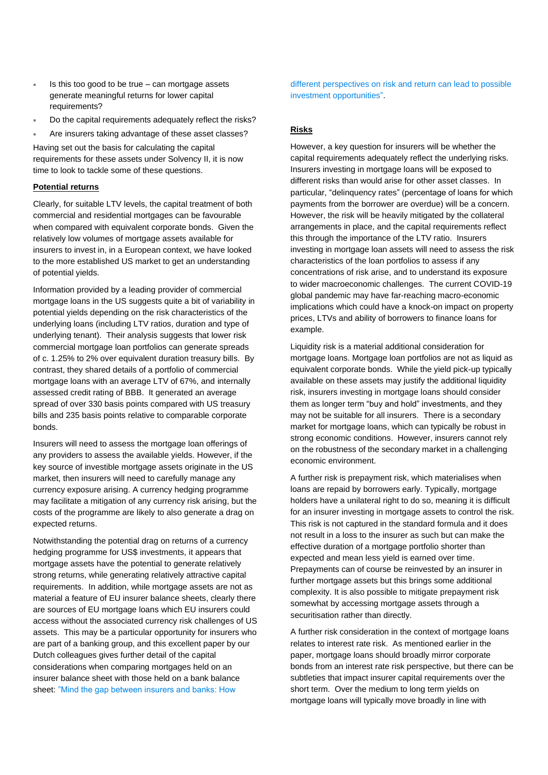- Is this too good to be true can mortgage assets generate meaningful returns for lower capital requirements?
- Do the capital requirements adequately reflect the risks?
- Are insurers taking advantage of these asset classes?

Having set out the basis for calculating the capital requirements for these assets under Solvency II, it is now time to look to tackle some of these questions.

#### **Potential returns**

Clearly, for suitable LTV levels, the capital treatment of both commercial and residential mortgages can be favourable when compared with equivalent corporate bonds. Given the relatively low volumes of mortgage assets available for insurers to invest in, in a European context, we have looked to the more established US market to get an understanding of potential yields.

Information provided by a leading provider of commercial mortgage loans in the US suggests quite a bit of variability in potential yields depending on the risk characteristics of the underlying loans (including LTV ratios, duration and type of underlying tenant). Their analysis suggests that lower risk commercial mortgage loan portfolios can generate spreads of c. 1.25% to 2% over equivalent duration treasury bills. By contrast, they shared details of a portfolio of commercial mortgage loans with an average LTV of 67%, and internally assessed credit rating of BBB. It generated an average spread of over 330 basis points compared with US treasury bills and 235 basis points relative to comparable corporate bonds.

Insurers will need to assess the mortgage loan offerings of any providers to assess the available yields. However, if the key source of investible mortgage assets originate in the US market, then insurers will need to carefully manage any currency exposure arising. A currency hedging programme may facilitate a mitigation of any currency risk arising, but the costs of the programme are likely to also generate a drag on expected returns.

Notwithstanding the potential drag on returns of a currency hedging programme for US\$ investments, it appears that mortgage assets have the potential to generate relatively strong returns, while generating relatively attractive capital requirements. In addition, while mortgage assets are not as material a feature of EU insurer balance sheets, clearly there are sources of EU mortgage loans which EU insurers could access without the associated currency risk challenges of US assets. This may be a particular opportunity for insurers who are part of a banking group, and this excellent paper by our Dutch colleagues gives further detail of the capital considerations when comparing mortgages held on an insurer balance sheet with those held on a bank balance sheet: ["Mind the gap between insurers and banks: How](https://nl.milliman.com/nl-NL/insight/mind-the-gap-between-insurers-and-banks-how-different-perspectives-on-risk-and-return) 

[different perspectives on risk and return can lead to possible](https://nl.milliman.com/nl-NL/insight/mind-the-gap-between-insurers-and-banks-how-different-perspectives-on-risk-and-return)  [investment opportunities"](https://nl.milliman.com/nl-NL/insight/mind-the-gap-between-insurers-and-banks-how-different-perspectives-on-risk-and-return).

#### **Risks**

However, a key question for insurers will be whether the capital requirements adequately reflect the underlying risks. Insurers investing in mortgage loans will be exposed to different risks than would arise for other asset classes. In particular, "delinquency rates" (percentage of loans for which payments from the borrower are overdue) will be a concern. However, the risk will be heavily mitigated by the collateral arrangements in place, and the capital requirements reflect this through the importance of the LTV ratio. Insurers investing in mortgage loan assets will need to assess the risk characteristics of the loan portfolios to assess if any concentrations of risk arise, and to understand its exposure to wider macroeconomic challenges. The current COVID-19 global pandemic may have far-reaching macro-economic implications which could have a knock-on impact on property prices, LTVs and ability of borrowers to finance loans for example.

Liquidity risk is a material additional consideration for mortgage loans. Mortgage loan portfolios are not as liquid as equivalent corporate bonds. While the yield pick-up typically available on these assets may justify the additional liquidity risk, insurers investing in mortgage loans should consider them as longer term "buy and hold" investments, and they may not be suitable for all insurers. There is a secondary market for mortgage loans, which can typically be robust in strong economic conditions. However, insurers cannot rely on the robustness of the secondary market in a challenging economic environment.

A further risk is prepayment risk, which materialises when loans are repaid by borrowers early. Typically, mortgage holders have a unilateral right to do so, meaning it is difficult for an insurer investing in mortgage assets to control the risk. This risk is not captured in the standard formula and it does not result in a loss to the insurer as such but can make the effective duration of a mortgage portfolio shorter than expected and mean less yield is earned over time. Prepayments can of course be reinvested by an insurer in further mortgage assets but this brings some additional complexity. It is also possible to mitigate prepayment risk somewhat by accessing mortgage assets through a securitisation rather than directly.

A further risk consideration in the context of mortgage loans relates to interest rate risk. As mentioned earlier in the paper, mortgage loans should broadly mirror corporate bonds from an interest rate risk perspective, but there can be subtleties that impact insurer capital requirements over the short term. Over the medium to long term yields on mortgage loans will typically move broadly in line with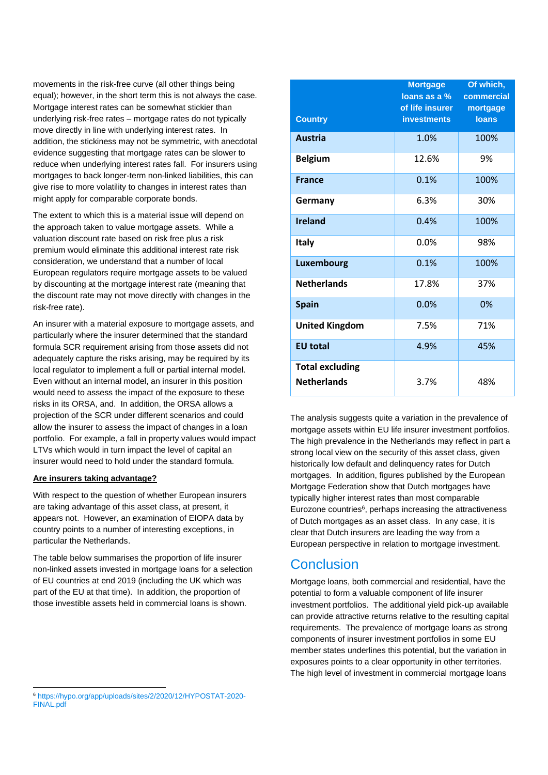movements in the risk-free curve (all other things being equal); however, in the short term this is not always the case. Mortgage interest rates can be somewhat stickier than underlying risk-free rates – mortgage rates do not typically move directly in line with underlying interest rates. In addition, the stickiness may not be symmetric, with anecdotal evidence suggesting that mortgage rates can be slower to reduce when underlying interest rates fall. For insurers using mortgages to back longer-term non-linked liabilities, this can give rise to more volatility to changes in interest rates than might apply for comparable corporate bonds.

The extent to which this is a material issue will depend on the approach taken to value mortgage assets. While a valuation discount rate based on risk free plus a risk premium would eliminate this additional interest rate risk consideration, we understand that a number of local European regulators require mortgage assets to be valued by discounting at the mortgage interest rate (meaning that the discount rate may not move directly with changes in the risk-free rate).

An insurer with a material exposure to mortgage assets, and particularly where the insurer determined that the standard formula SCR requirement arising from those assets did not adequately capture the risks arising, may be required by its local regulator to implement a full or partial internal model. Even without an internal model, an insurer in this position would need to assess the impact of the exposure to these risks in its ORSA, and. In addition, the ORSA allows a projection of the SCR under different scenarios and could allow the insurer to assess the impact of changes in a loan portfolio. For example, a fall in property values would impact LTVs which would in turn impact the level of capital an insurer would need to hold under the standard formula.

#### **Are insurers taking advantage?**

With respect to the question of whether European insurers are taking advantage of this asset class, at present, it appears not. However, an examination of EIOPA data by country points to a number of interesting exceptions, in particular the Netherlands.

The table below summarises the proportion of life insurer non-linked assets invested in mortgage loans for a selection of EU countries at end 2019 (including the UK which was part of the EU at that time). In addition, the proportion of those investible assets held in commercial loans is shown.

| <b>Country</b>                               | <b>Mortgage</b><br>loans as a %<br>of life insurer<br><b>investments</b> | Of which,<br>commercial<br>mortgage<br><b>loans</b> |
|----------------------------------------------|--------------------------------------------------------------------------|-----------------------------------------------------|
| <b>Austria</b>                               | 1.0%                                                                     | 100%                                                |
| <b>Belgium</b>                               | 12.6%                                                                    | 9%                                                  |
| <b>France</b>                                | 0.1%                                                                     | 100%                                                |
| Germany                                      | 6.3%                                                                     | 30%                                                 |
| <b>Ireland</b>                               | 0.4%                                                                     | 100%                                                |
| <b>Italy</b>                                 | 0.0%                                                                     | 98%                                                 |
| <b>Luxembourg</b>                            | 0.1%                                                                     | 100%                                                |
| <b>Netherlands</b>                           | 17.8%                                                                    | 37%                                                 |
| <b>Spain</b>                                 | 0.0%                                                                     | 0%                                                  |
| <b>United Kingdom</b>                        | 7.5%                                                                     | 71%                                                 |
| <b>EU</b> total                              | 4.9%                                                                     | 45%                                                 |
| <b>Total excluding</b><br><b>Netherlands</b> | 3.7%                                                                     | 48%                                                 |

The analysis suggests quite a variation in the prevalence of mortgage assets within EU life insurer investment portfolios. The high prevalence in the Netherlands may reflect in part a strong local view on the security of this asset class, given historically low default and delinquency rates for Dutch mortgages. In addition, figures published by the European Mortgage Federation show that Dutch mortgages have typically higher interest rates than most comparable Eurozone countries<sup>6</sup>, perhaps increasing the attractiveness of Dutch mortgages as an asset class. In any case, it is clear that Dutch insurers are leading the way from a European perspective in relation to mortgage investment.

## **Conclusion**

Mortgage loans, both commercial and residential, have the potential to form a valuable component of life insurer investment portfolios. The additional yield pick-up available can provide attractive returns relative to the resulting capital requirements. The prevalence of mortgage loans as strong components of insurer investment portfolios in some EU member states underlines this potential, but the variation in exposures points to a clear opportunity in other territories. The high level of investment in commercial mortgage loans

<sup>6</sup> https://hypo.org/app/uploads/sites/2/2020/1[2/HYPOSTAT-2020-](https://hypo.org/app/uploads/sites/2/2020/12/HYPOSTAT-2020-FINAL.pdf) [FINAL.pdf](https://hypo.org/app/uploads/sites/2/2020/12/HYPOSTAT-2020-FINAL.pdf)